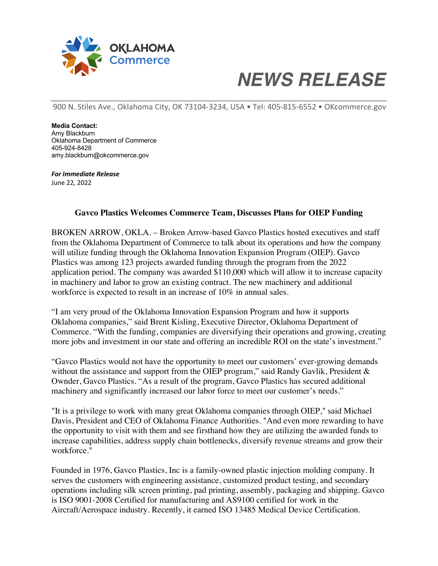

## *NEWS RELEASE*

900 N. Stiles Ave., Oklahoma City, OK 73104-3234, USA • Tel: 405-815-6552 • OKcommerce.gov

**Media Contact:** Amy Blackburn Oklahoma Department of Commerce 405-924-8428 amy.blackburn@okcommerce.gov

*For Immediate Release* June 22, 2022

## **Gavco Plastics Welcomes Commerce Team, Discusses Plans for OIEP Funding**

BROKEN ARROW, OKLA. – Broken Arrow-based Gavco Plastics hosted executives and staff from the Oklahoma Department of Commerce to talk about its operations and how the company will utilize funding through the Oklahoma Innovation Expansion Program (OIEP). Gavco Plastics was among 123 projects awarded funding through the program from the 2022 application period. The company was awarded \$110,000 which will allow it to increase capacity in machinery and labor to grow an existing contract. The new machinery and additional workforce is expected to result in an increase of 10% in annual sales.

"I am very proud of the Oklahoma Innovation Expansion Program and how it supports Oklahoma companies," said Brent Kisling, Executive Director, Oklahoma Department of Commerce. "With the funding, companies are diversifying their operations and growing, creating more jobs and investment in our state and offering an incredible ROI on the state's investment."

"Gavco Plastics would not have the opportunity to meet our customers' ever-growing demands without the assistance and support from the OIEP program," said Randy Gavlik, President & Ownder, Gavco Plastics. "As a result of the program, Gavco Plastics has secured additional machinery and significantly increased our labor force to meet our customer's needs."

"It is a privilege to work with many great Oklahoma companies through OIEP," said Michael Davis, President and CEO of Oklahoma Finance Authorities. "And even more rewarding to have the opportunity to visit with them and see firsthand how they are utilizing the awarded funds to increase capabilities, address supply chain bottlenecks, diversify revenue streams and grow their workforce."

Founded in 1976, Gavco Plastics, Inc is a family-owned plastic injection molding company. It serves the customers with engineering assistance, customized product testing, and secondary operations including silk screen printing, pad printing, assembly, packaging and shipping. Gavco is ISO 9001-2008 Certified for manufacturing and AS9100 certified for work in the Aircraft/Aerospace industry. Recently, it earned ISO 13485 Medical Device Certification.